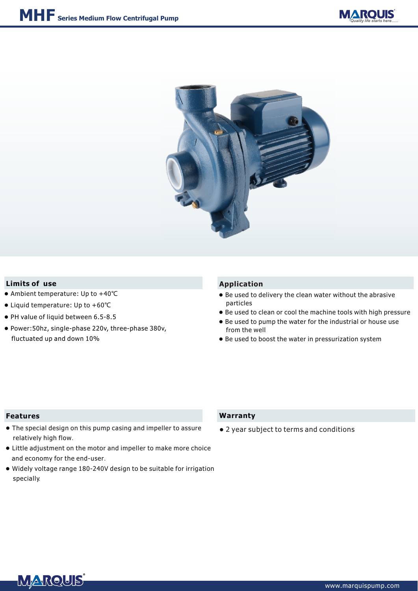



## **Limits of** use **Application**

- Ambient temperature: Up to +40℃
- Liquid temperature: Up to +60℃
- PH value of liquid between 6.5-8.5
- Power:50hz, single-phase 220v, three-phase 380v, fluctuated up and down 10%

- Be used to delivery the clean water without the abrasive particles
- Be used to clean or cool the machine tools with high pressure
- Be used to pump the water for the industrial or house use from the well
- Be used to boost the water in pressurization system

#### **Features**

- The special design on this pump casing and impeller to assure relatively high flow.
- Little adjustment on the motor and impeller to make more choice and economy for the end-user.
- Widely voltage range 180-240V design to be suitable for irrigation specially.

### **Warranty**

● 2 year subject to terms and conditions

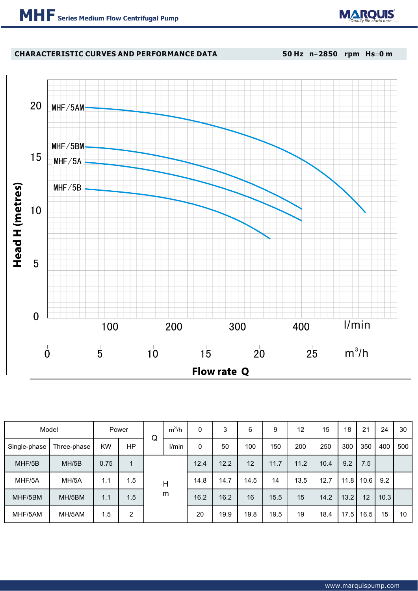

# **CHARACTERISTIC CURVES AND PERFORMANCE DATA**

**50 Hz n**=**2850 rpm Hs**=**0 m**



| Model        |             | Power     |     | Q      | $m^3/h$ | 0    | 3    | 6    | 9    | 12   | 15   | 18   | 21   | 24   | 30  |
|--------------|-------------|-----------|-----|--------|---------|------|------|------|------|------|------|------|------|------|-----|
| Single-phase | Three-phase | <b>KW</b> | ΗP  |        | l/min   | 0    | 50   | 100  | 150  | 200  | 250  | 300  | 350  | 400  | 500 |
| MHF/5B       | MH/5B       | 0.75      | 1   | Н<br>m |         | 12.4 | 12.2 | 12   | 11.7 | 11.2 | 10.4 | 9.2  | 7.5  |      |     |
| MHF/5A       | MH/5A       | 1.1       | 1.5 |        |         | 14.8 | 14.7 | 14.5 | 14   | 13.5 | 12.7 | 11.8 | 10.6 | 9.2  |     |
| MHF/5BM      | MH/5BM      | 1.1       | 1.5 |        |         | 16.2 | 16.2 | 16   | 15.5 | 15   | 14.2 | 13.2 | 12   | 10.3 |     |
| MHF/5AM      | MH/5AM      | 1.5       | 2   |        |         | 20   | 19.9 | 19.8 | 19.5 | 19   | 18.4 | 17.5 | 16.5 | 15   | 10  |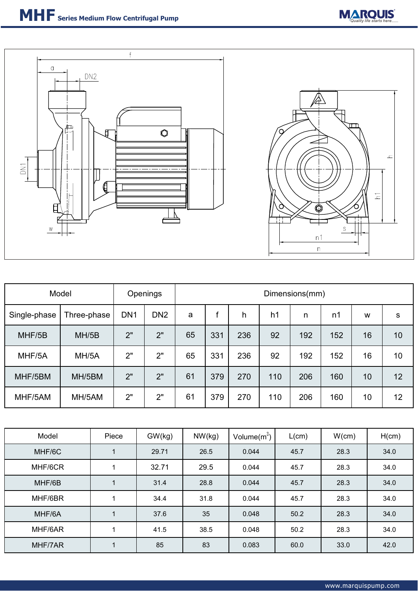



| Model        |             | Openings        |                 | Dimensions(mm) |     |     |     |     |                |    |    |  |
|--------------|-------------|-----------------|-----------------|----------------|-----|-----|-----|-----|----------------|----|----|--|
| Single-phase | Three-phase | DN <sub>1</sub> | DN <sub>2</sub> | a              |     | h   | h1  | n   | n <sub>1</sub> | W  | S  |  |
| MHF/5B       | MH/5B       | 2"              | 2"              | 65             | 331 | 236 | 92  | 192 | 152            | 16 | 10 |  |
| MHF/5A       | MH/5A       | 2"              | 2"              | 65             | 331 | 236 | 92  | 192 | 152            | 16 | 10 |  |
| MHF/5BM      | MH/5BM      | 2"              | 2"              | 61             | 379 | 270 | 110 | 206 | 160            | 10 | 12 |  |
| MHF/5AM      | MH/5AM      | 2"              | 2"              | 61             | 379 | 270 | 110 | 206 | 160            | 10 | 12 |  |

| Model   | Piece | GW(kg) | NW(kg) | Volume $(m^3)$ | L(cm) | W(cm) | H(cm) |
|---------|-------|--------|--------|----------------|-------|-------|-------|
| MHF/6C  |       | 29.71  | 26.5   | 0.044          | 45.7  | 28.3  | 34.0  |
| MHF/6CR |       | 32.71  | 29.5   | 0.044          | 45.7  | 28.3  | 34.0  |
| MHF/6B  |       | 31.4   | 28.8   | 0.044          | 45.7  | 28.3  | 34.0  |
| MHF/6BR |       | 34.4   | 31.8   | 0.044          | 45.7  | 28.3  | 34.0  |
| MHF/6A  |       | 37.6   | 35     | 0.048          | 50.2  | 28.3  | 34.0  |
| MHF/6AR |       | 41.5   | 38.5   | 0.048          | 50.2  | 28.3  | 34.0  |
| MHF/7AR |       | 85     | 83     | 0.083          | 60.0  | 33.0  | 42.0  |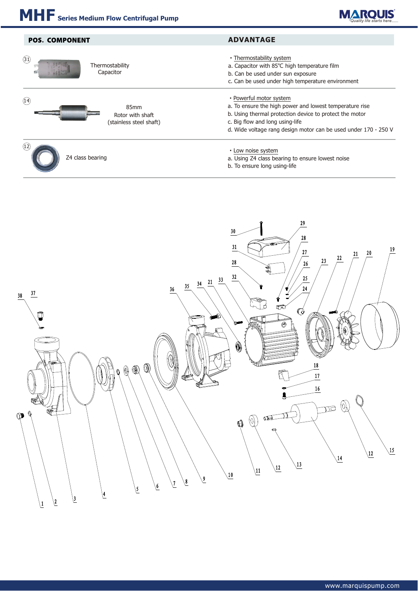

| <b>POS. COMPONENT</b>                                       | <b>ADVANTAGE</b>                                                                                                                                                                                                                                    |  |  |  |  |  |
|-------------------------------------------------------------|-----------------------------------------------------------------------------------------------------------------------------------------------------------------------------------------------------------------------------------------------------|--|--|--|--|--|
| (31)<br>Thermostability<br>Capacitor                        | • Thermostability system<br>a. Capacitor with 85°C high temperature film<br>b. Can be used under sun exposure<br>c. Can be used under high temperature environment                                                                                  |  |  |  |  |  |
| (14)<br>85mm<br>Rotor with shaft<br>(stainless steel shaft) | • Powerful motor system<br>a. To ensure the high power and lowest temperature rise<br>b. Using thermal protection device to protect the motor<br>c. Big flow and long using-life<br>d. Wide voltage rang design motor can be used under 170 - 250 V |  |  |  |  |  |
| Z4 class bearing                                            | • Low noise system<br>a. Using Z4 class bearing to ensure lowest noise<br>b. To ensure long using-life                                                                                                                                              |  |  |  |  |  |